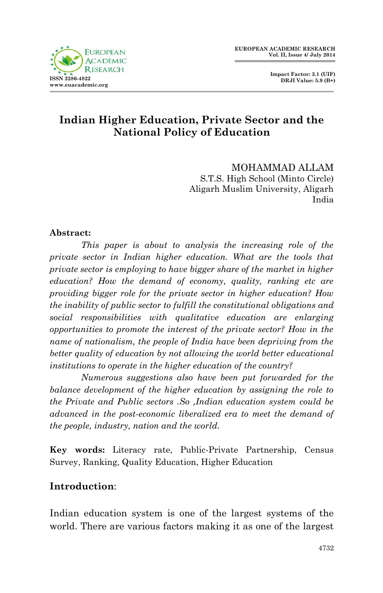

 **Impact Factor: 3.1 (UIF) DRJI Value: 5.9 (B+)**

## **Indian Higher Education, Private Sector and the National Policy of Education**

MOHAMMAD ALLAM S.T.S. High School (Minto Circle) Aligarh Muslim University, Aligarh India

#### **Abstract:**

*This paper is about to analysis the increasing role of the private sector in Indian higher education. What are the tools that private sector is employing to have bigger share of the market in higher education? How the demand of economy, quality, ranking etc are providing bigger role for the private sector in higher education? How the inability of public sector to fulfill the constitutional obligations and social responsibilities with qualitative education are enlarging opportunities to promote the interest of the private sector? How in the name of nationalism, the people of India have been depriving from the better quality of education by not allowing the world better educational institutions to operate in the higher education of the country?* 

*Numerous suggestions also have been put forwarded for the balance development of the higher education by assigning the role to the Private and Public sectors .So ,Indian education system could be advanced in the post-economic liberalized era to meet the demand of the people, industry, nation and the world.* 

**Key words:** Literacy rate, Public-Private Partnership, Census Survey, Ranking, Quality Education, Higher Education

#### **Introduction**:

Indian education system is one of the largest systems of the world. There are various factors making it as one of the largest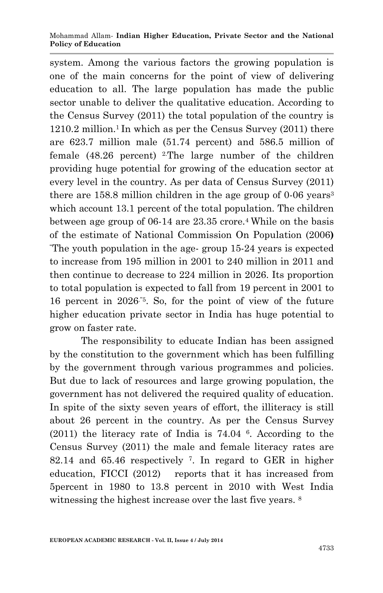#### Mohammad Allam*-* **Indian Higher Education, Private Sector and the National Policy of Education**

system. Among the various factors the growing population is one of the main concerns for the point of view of delivering education to all. The large population has made the public sector unable to deliver the qualitative education. According to the Census Survey (2011) the total population of the country is  $1210.2$  million.<sup>1</sup> In which as per the Census Survey (2011) there are 623.7 million male (51.74 percent) and 586.5 million of female  $(48.26$  percent) <sup>2</sup>. The large number of the children providing huge potential for growing of the education sector at every level in the country. As per data of Census Survey (2011) there are  $158.8$  million children in the age group of 0-06 years<sup>3</sup> which account 13.1 percent of the total population. The children between age group of  $06-14$  are  $23.35$  crore.<sup>4</sup> While on the basis of the estimate of National Commission On Population (2006**)** "The youth population in the age- group 15-24 years is expected to increase from 195 million in 2001 to 240 million in 2011 and then continue to decrease to 224 million in 2026. Its proportion to total population is expected to fall from 19 percent in 2001 to 16 percent in 2026."5. So, for the point of view of the future higher education private sector in India has huge potential to grow on faster rate.

The responsibility to educate Indian has been assigned by the constitution to the government which has been fulfilling by the government through various programmes and policies. But due to lack of resources and large growing population, the government has not delivered the required quality of education. In spite of the sixty seven years of effort, the illiteracy is still about 26 percent in the country. As per the Census Survey (2011) the literacy rate of India is 74.04 <sup>6</sup> . According to the Census Survey (2011) the male and female literacy rates are 82.14 and 65.46 respectively <sup>7</sup> . In regard to GER in higher education, FICCI (2012) reports that it has increased from 5percent in 1980 to 13.8 percent in 2010 with West India witnessing the highest increase over the last five years. 8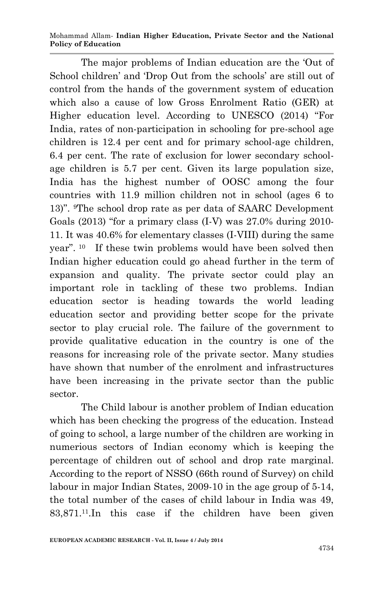Mohammad Allam*-* **Indian Higher Education, Private Sector and the National Policy of Education**

The major problems of Indian education are the 'Out of School children' and 'Drop Out from the schools' are still out of control from the hands of the government system of education which also a cause of low Gross Enrolment Ratio (GER) at Higher education level. According to UNESCO (2014) "For India, rates of non-participation in schooling for pre-school age children is 12.4 per cent and for primary school-age children, 6.4 per cent. The rate of exclusion for lower secondary schoolage children is 5.7 per cent. Given its large population size, India has the highest number of OOSC among the four countries with 11.9 million children not in school (ages 6 to 13)". 9The school drop rate as per data of SAARC Development Goals (2013) "for a primary class (I-V) was 27.0% during 2010- 11. It was 40.6% for elementary classes (I-VIII) during the same year".  $10$  If these twin problems would have been solved then Indian higher education could go ahead further in the term of expansion and quality. The private sector could play an important role in tackling of these two problems. Indian education sector is heading towards the world leading education sector and providing better scope for the private sector to play crucial role. The failure of the government to provide qualitative education in the country is one of the reasons for increasing role of the private sector. Many studies have shown that number of the enrolment and infrastructures have been increasing in the private sector than the public sector.

The Child labour is another problem of Indian education which has been checking the progress of the education. Instead of going to school, a large number of the children are working in numerious sectors of Indian economy which is keeping the percentage of children out of school and drop rate marginal. According to the report of NSSO (66th round of Survey) on child labour in major Indian States, 2009-10 in the age group of 5-14, the total number of the cases of child labour in India was 49, 83,871.11.In this case if the children have been given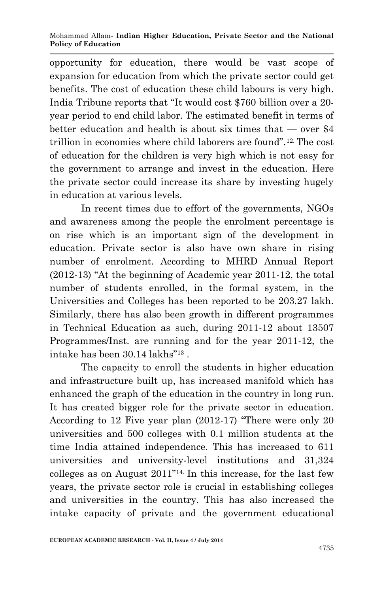opportunity for education, there would be vast scope of expansion for education from which the private sector could get benefits. The cost of education these child labours is very high. India Tribune reports that "It would cost \$760 billion over a 20 year period to end child labor. The estimated benefit in terms of better education and health is about six times that — over \$4 trillion in economies where child laborers are found".12. The cost of education for the children is very high which is not easy for the government to arrange and invest in the education. Here the private sector could increase its share by investing hugely in education at various levels.

In recent times due to effort of the governments, NGOs and awareness among the people the enrolment percentage is on rise which is an important sign of the development in education. Private sector is also have own share in rising number of enrolment. According to MHRD Annual Report (2012-13) "At the beginning of Academic year 2011-12, the total number of students enrolled, in the formal system, in the Universities and Colleges has been reported to be 203.27 lakh. Similarly, there has also been growth in different programmes in Technical Education as such, during 2011-12 about 13507 Programmes/Inst. are running and for the year 2011-12, the intake has been 30.14 lakhs"<sup>13</sup> .

The capacity to enroll the students in higher education and infrastructure built up, has increased manifold which has enhanced the graph of the education in the country in long run. It has created bigger role for the private sector in education. According to 12 Five year plan (2012-17) "There were only 20 universities and 500 colleges with 0.1 million students at the time India attained independence. This has increased to 611 universities and university-level institutions and 31,324 colleges as on August 2011"14. In this increase, for the last few years, the private sector role is crucial in establishing colleges and universities in the country. This has also increased the intake capacity of private and the government educational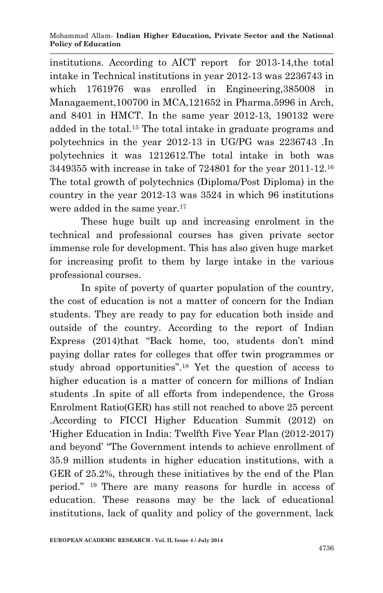institutions. According to AICT report for 2013-14,the total intake in Technical institutions in year 2012-13 was 2236743 in which 1761976 was enrolled in Engineering,385008 in Managaement,100700 in MCA,121652 in Pharma.5996 in Arch, and 8401 in HMCT. In the same year 2012-13, 190132 were added in the total.<sup>15</sup> The total intake in graduate programs and polytechnics in the year 2012-13 in UG/PG was 2236743 .In polytechnics it was 1212612.The total intake in both was 3449355 with increase in take of 724801 for the year 2011-12.<sup>16</sup> The total growth of polytechnics (Diploma/Post Diploma) in the country in the year 2012-13 was 3524 in which 96 institutions were added in the same year.<sup>17</sup>

These huge built up and increasing enrolment in the technical and professional courses has given private sector immense role for development. This has also given huge market for increasing profit to them by large intake in the various professional courses.

In spite of poverty of quarter population of the country, the cost of education is not a matter of concern for the Indian students. They are ready to pay for education both inside and outside of the country. According to the report of Indian Express (2014)that "Back home, too, students don't mind paying dollar rates for colleges that offer twin programmes or study abroad opportunities".<sup>18</sup> Yet the question of access to higher education is a matter of concern for millions of Indian students .In spite of all efforts from independence, the Gross Enrolment Ratio(GER) has still not reached to above 25 percent .According to FICCI Higher Education Summit (2012) on 'Higher Education in India: Twelfth Five Year Plan (2012-2017) and beyond' "The Government intends to achieve enrollment of 35.9 million students in higher education institutions, with a GER of 25.2%, through these initiatives by the end of the Plan period." <sup>19</sup> There are many reasons for hurdle in access of education. These reasons may be the lack of educational institutions, lack of quality and policy of the government, lack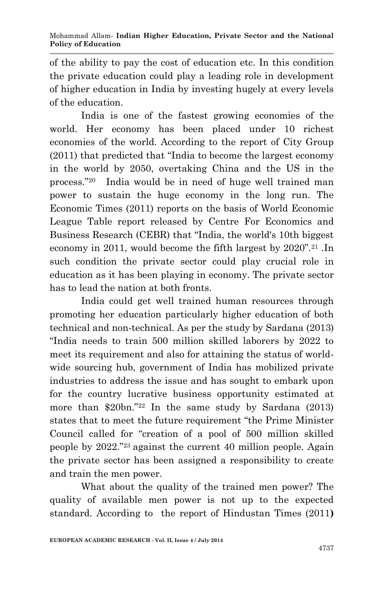of the ability to pay the cost of education etc. In this condition the private education could play a leading role in development of higher education in India by investing hugely at every levels of the education.

India is one of the fastest growing economies of the world. Her economy has been placed under 10 richest economies of the world. According to the report of City Group (2011) that predicted that "India to become the largest economy in the world by 2050, overtaking China and the US in the process."20 India would be in need of huge well trained man power to sustain the huge economy in the long run. The Economic Times (2011) reports on the basis of World Economic League Table report released by Centre For Economics and Business Research (CEBR) that "India, the world's 10th biggest economy in 2011, would become the fifth largest by 2020".<sup>21</sup> .In such condition the private sector could play crucial role in education as it has been playing in economy. The private sector has to lead the nation at both fronts.

India could get well trained human resources through promoting her education particularly higher education of both technical and non-technical. As per the study by Sardana (2013) "India needs to train 500 million skilled laborers by 2022 to meet its requirement and also for attaining the status of worldwide sourcing hub, government of India has mobilized private industries to address the issue and has sought to embark upon for the country lucrative business opportunity estimated at more than \$20bn."<sup>22</sup> In the same study by Sardana (2013) states that to meet the future requirement "the Prime Minister Council called for "creation of a pool of 500 million skilled people by 2022."<sup>23</sup> against the current 40 million people. Again the private sector has been assigned a responsibility to create and train the men power.

What about the quality of the trained men power? The quality of available men power is not up to the expected standard. According to the report of Hindustan Times (2011**)**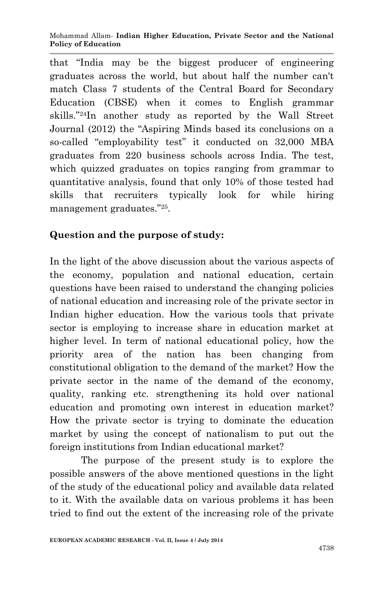that "India may be the biggest producer of engineering graduates across the world, but about half the number can't match Class 7 students of the Central Board for Secondary Education (CBSE) when it comes to English grammar skills."24In another study as reported by the Wall Street Journal (2012) the "Aspiring Minds based its conclusions on a so-called "employability test" it conducted on 32,000 MBA graduates from 220 business schools across India. The test, which quizzed graduates on topics ranging from grammar to quantitative analysis, found that only 10% of those tested had skills that recruiters typically look for while hiring management graduates."<sup>25</sup> .

## **Question and the purpose of study:**

In the light of the above discussion about the various aspects of the economy, population and national education, certain questions have been raised to understand the changing policies of national education and increasing role of the private sector in Indian higher education. How the various tools that private sector is employing to increase share in education market at higher level. In term of national educational policy, how the priority area of the nation has been changing from constitutional obligation to the demand of the market? How the private sector in the name of the demand of the economy, quality, ranking etc. strengthening its hold over national education and promoting own interest in education market? How the private sector is trying to dominate the education market by using the concept of nationalism to put out the foreign institutions from Indian educational market?

The purpose of the present study is to explore the possible answers of the above mentioned questions in the light of the study of the educational policy and available data related to it. With the available data on various problems it has been tried to find out the extent of the increasing role of the private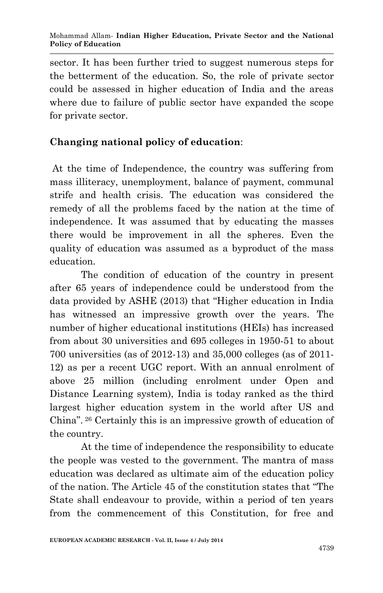sector. It has been further tried to suggest numerous steps for the betterment of the education. So, the role of private sector could be assessed in higher education of India and the areas where due to failure of public sector have expanded the scope for private sector.

### **Changing national policy of education**:

At the time of Independence, the country was suffering from mass illiteracy, unemployment, balance of payment, communal strife and health crisis. The education was considered the remedy of all the problems faced by the nation at the time of independence. It was assumed that by educating the masses there would be improvement in all the spheres. Even the quality of education was assumed as a byproduct of the mass education.

The condition of education of the country in present after 65 years of independence could be understood from the data provided by ASHE (2013) that "Higher education in India has witnessed an impressive growth over the years. The number of higher educational institutions (HEIs) has increased from about 30 universities and 695 colleges in 1950-51 to about 700 universities (as of 2012-13) and 35,000 colleges (as of 2011- 12) as per a recent UGC report. With an annual enrolment of above 25 million (including enrolment under Open and Distance Learning system), India is today ranked as the third largest higher education system in the world after US and China". <sup>26</sup> Certainly this is an impressive growth of education of the country.

At the time of independence the responsibility to educate the people was vested to the government. The mantra of mass education was declared as ultimate aim of the education policy of the nation. The Article 45 of the constitution states that "The State shall endeavour to provide, within a period of ten years from the commencement of this Constitution, for free and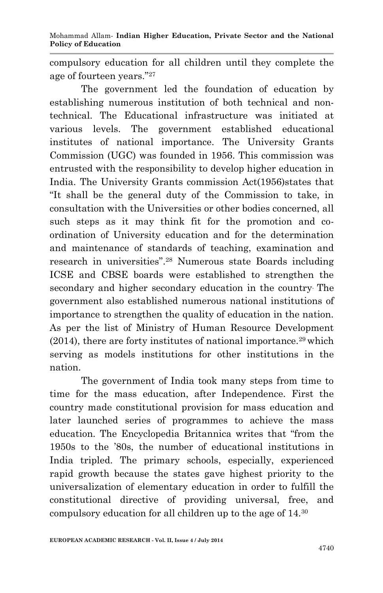compulsory education for all children until they complete the age of fourteen years."<sup>27</sup>

The government led the foundation of education by establishing numerous institution of both technical and nontechnical. The Educational infrastructure was initiated at various levels. The government established educational institutes of national importance. The University Grants Commission (UGC) was founded in 1956. This commission was entrusted with the responsibility to develop higher education in India. The University Grants commission Act(1956)states that "It shall be the general duty of the Commission to take, in consultation with the Universities or other bodies concerned, all such steps as it may think fit for the promotion and coordination of University education and for the determination and maintenance of standards of teaching, examination and research in universities".<sup>28</sup> Numerous state Boards including ICSE and CBSE boards were established to strengthen the secondary and higher secondary education in the country. The government also established numerous national institutions of importance to strengthen the quality of education in the nation. As per the list of Ministry of Human Resource Development  $(2014)$ , there are forty institutes of national importance.<sup>29</sup> which serving as models institutions for other institutions in the nation.

The government of India took many steps from time to time for the mass education, after Independence. First the country made constitutional provision for mass education and later launched series of programmes to achieve the mass education. The Encyclopedia Britannica writes that "from the 1950s to the '80s, the number of educational institutions in India tripled. The primary schools, especially, experienced rapid growth because the states gave highest priority to the universalization of elementary education in order to fulfill the constitutional directive of providing universal, free, and compulsory education for all children up to the age of 14.30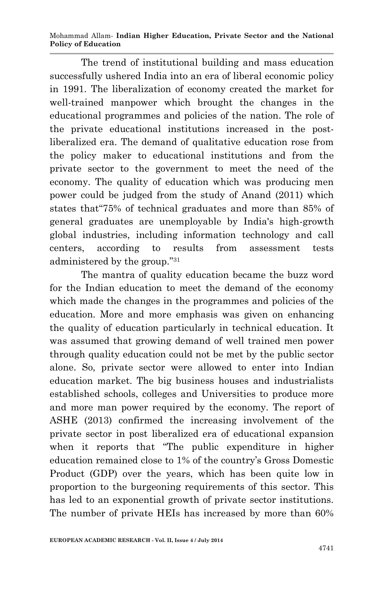Mohammad Allam*-* **Indian Higher Education, Private Sector and the National Policy of Education**

The trend of institutional building and mass education successfully ushered India into an era of liberal economic policy in 1991. The liberalization of economy created the market for well-trained manpower which brought the changes in the educational programmes and policies of the nation. The role of the private educational institutions increased in the postliberalized era. The demand of qualitative education rose from the policy maker to educational institutions and from the private sector to the government to meet the need of the economy. The quality of education which was producing men power could be judged from the study of Anand (2011) which states that"75% of technical graduates and more than 85% of general graduates are unemployable by India's high-growth global industries, including information technology and call centers, according to results from assessment tests administered by the group."<sup>31</sup>

The mantra of quality education became the buzz word for the Indian education to meet the demand of the economy which made the changes in the programmes and policies of the education. More and more emphasis was given on enhancing the quality of education particularly in technical education. It was assumed that growing demand of well trained men power through quality education could not be met by the public sector alone. So, private sector were allowed to enter into Indian education market. The big business houses and industrialists established schools, colleges and Universities to produce more and more man power required by the economy. The report of ASHE (2013) confirmed the increasing involvement of the private sector in post liberalized era of educational expansion when it reports that "The public expenditure in higher education remained close to 1% of the country's Gross Domestic Product (GDP) over the years, which has been quite low in proportion to the burgeoning requirements of this sector. This has led to an exponential growth of private sector institutions. The number of private HEIs has increased by more than 60%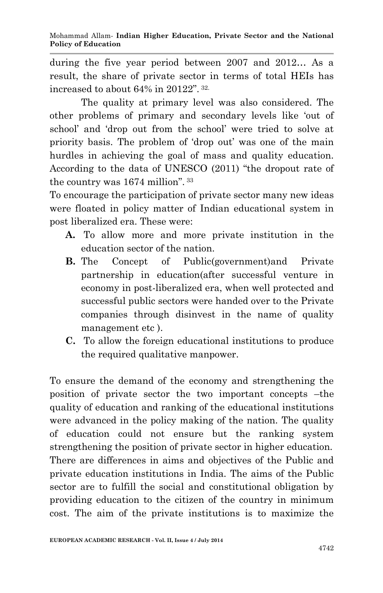during the five year period between 2007 and 2012… As a result, the share of private sector in terms of total HEIs has increased to about 64% in 20122". 32.

The quality at primary level was also considered. The other problems of primary and secondary levels like 'out of school' and 'drop out from the school' were tried to solve at priority basis. The problem of 'drop out' was one of the main hurdles in achieving the goal of mass and quality education. According to the data of UNESCO (2011) "the dropout rate of the country was 1674 million". <sup>33</sup>

To encourage the participation of private sector many new ideas were floated in policy matter of Indian educational system in post liberalized era. These were:

- **A.** To allow more and more private institution in the education sector of the nation.
- **B.** The Concept of Public(government) and Private partnership in education(after successful venture in economy in post-liberalized era, when well protected and successful public sectors were handed over to the Private companies through disinvest in the name of quality management etc ).
- **C.** To allow the foreign educational institutions to produce the required qualitative manpower.

To ensure the demand of the economy and strengthening the position of private sector the two important concepts –the quality of education and ranking of the educational institutions were advanced in the policy making of the nation. The quality of education could not ensure but the ranking system strengthening the position of private sector in higher education. There are differences in aims and objectives of the Public and private education institutions in India. The aims of the Public sector are to fulfill the social and constitutional obligation by providing education to the citizen of the country in minimum cost. The aim of the private institutions is to maximize the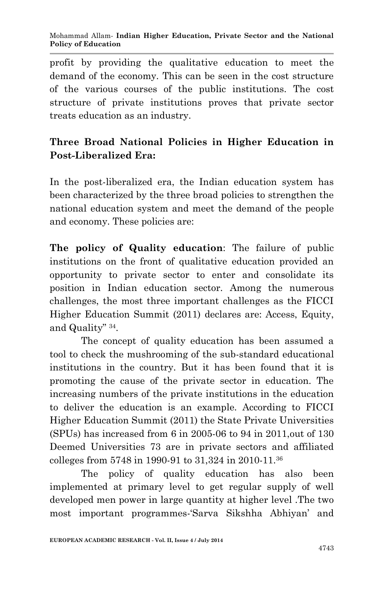profit by providing the qualitative education to meet the demand of the economy. This can be seen in the cost structure of the various courses of the public institutions. The cost structure of private institutions proves that private sector treats education as an industry.

# **Three Broad National Policies in Higher Education in Post-Liberalized Era:**

In the post-liberalized era, the Indian education system has been characterized by the three broad policies to strengthen the national education system and meet the demand of the people and economy. These policies are:

**The policy of Quality education**: The failure of public institutions on the front of qualitative education provided an opportunity to private sector to enter and consolidate its position in Indian education sector. Among the numerous challenges, the most three important challenges as the FICCI Higher Education Summit (2011) declares are: Access, Equity, and Quality" <sup>34</sup> .

The concept of quality education has been assumed a tool to check the mushrooming of the sub-standard educational institutions in the country. But it has been found that it is promoting the cause of the private sector in education. The increasing numbers of the private institutions in the education to deliver the education is an example. According to FICCI Higher Education Summit (2011) the State Private Universities (SPUs) has increased from 6 in 2005-06 to 94 in 2011,out of 130 Deemed Universities 73 are in private sectors and affiliated colleges from 5748 in 1990-91 to 31,324 in 2010-11.<sup>36</sup>

 The policy of quality education has also been implemented at primary level to get regular supply of well developed men power in large quantity at higher level .The two most important programmes-'Sarva Sikshha Abhiyan' and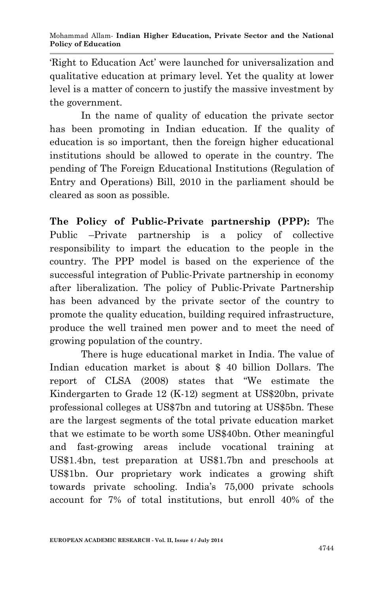'Right to Education Act' were launched for universalization and qualitative education at primary level. Yet the quality at lower level is a matter of concern to justify the massive investment by the government.

In the name of quality of education the private sector has been promoting in Indian education. If the quality of education is so important, then the foreign higher educational institutions should be allowed to operate in the country. The pending of The Foreign Educational Institutions (Regulation of Entry and Operations) Bill, 2010 in the parliament should be cleared as soon as possible.

**The Policy of Public-Private partnership (PPP):** The Public –Private partnership is a policy of collective responsibility to impart the education to the people in the country. The PPP model is based on the experience of the successful integration of Public-Private partnership in economy after liberalization. The policy of Public-Private Partnership has been advanced by the private sector of the country to promote the quality education, building required infrastructure, produce the well trained men power and to meet the need of growing population of the country.

There is huge educational market in India. The value of Indian education market is about \$ 40 billion Dollars. The report of CLSA (2008) states that "We estimate the Kindergarten to Grade 12 (K-12) segment at US\$20bn, private professional colleges at US\$7bn and tutoring at US\$5bn. These are the largest segments of the total private education market that we estimate to be worth some US\$40bn. Other meaningful and fast-growing areas include vocational training at US\$1.4bn, test preparation at US\$1.7bn and preschools at US\$1bn. Our proprietary work indicates a growing shift towards private schooling. India's 75,000 private schools account for 7% of total institutions, but enroll 40% of the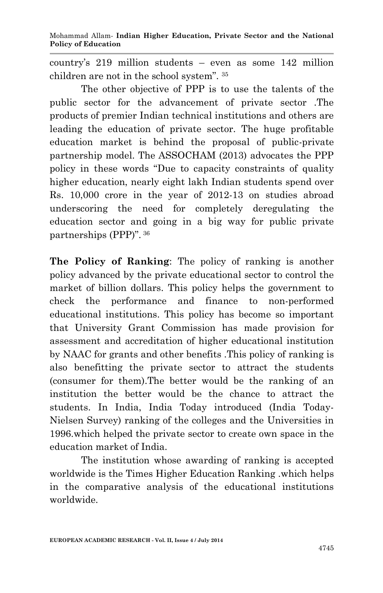country's 219 million students – even as some 142 million children are not in the school system". <sup>35</sup>

The other objective of PPP is to use the talents of the public sector for the advancement of private sector .The products of premier Indian technical institutions and others are leading the education of private sector. The huge profitable education market is behind the proposal of public-private partnership model. The ASSOCHAM (2013) advocates the PPP policy in these words "Due to capacity constraints of quality higher education, nearly eight lakh Indian students spend over Rs. 10,000 crore in the year of 2012-13 on studies abroad underscoring the need for completely deregulating the education sector and going in a big way for public private partnerships (PPP)". <sup>36</sup>

**The Policy of Ranking**: The policy of ranking is another policy advanced by the private educational sector to control the market of billion dollars. This policy helps the government to check the performance and finance to non-performed educational institutions. This policy has become so important that University Grant Commission has made provision for assessment and accreditation of higher educational institution by NAAC for grants and other benefits .This policy of ranking is also benefitting the private sector to attract the students (consumer for them).The better would be the ranking of an institution the better would be the chance to attract the students. In India, India Today introduced (India Today-Nielsen Survey) ranking of the colleges and the Universities in 1996.which helped the private sector to create own space in the education market of India.

The institution whose awarding of ranking is accepted worldwide is the Times Higher Education Ranking .which helps in the comparative analysis of the educational institutions worldwide.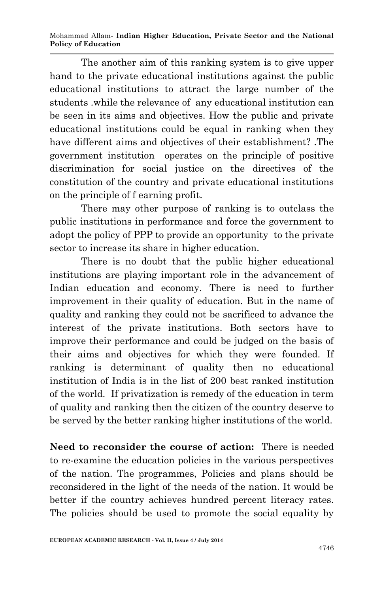Mohammad Allam*-* **Indian Higher Education, Private Sector and the National Policy of Education**

The another aim of this ranking system is to give upper hand to the private educational institutions against the public educational institutions to attract the large number of the students .while the relevance of any educational institution can be seen in its aims and objectives. How the public and private educational institutions could be equal in ranking when they have different aims and objectives of their establishment? .The government institution operates on the principle of positive discrimination for social justice on the directives of the constitution of the country and private educational institutions on the principle of f earning profit.

There may other purpose of ranking is to outclass the public institutions in performance and force the government to adopt the policy of PPP to provide an opportunity to the private sector to increase its share in higher education.

There is no doubt that the public higher educational institutions are playing important role in the advancement of Indian education and economy. There is need to further improvement in their quality of education. But in the name of quality and ranking they could not be sacrificed to advance the interest of the private institutions. Both sectors have to improve their performance and could be judged on the basis of their aims and objectives for which they were founded. If ranking is determinant of quality then no educational institution of India is in the list of 200 best ranked institution of the world. If privatization is remedy of the education in term of quality and ranking then the citizen of the country deserve to be served by the better ranking higher institutions of the world.

**Need to reconsider the course of action:** There is needed to re-examine the education policies in the various perspectives of the nation. The programmes, Policies and plans should be reconsidered in the light of the needs of the nation. It would be better if the country achieves hundred percent literacy rates. The policies should be used to promote the social equality by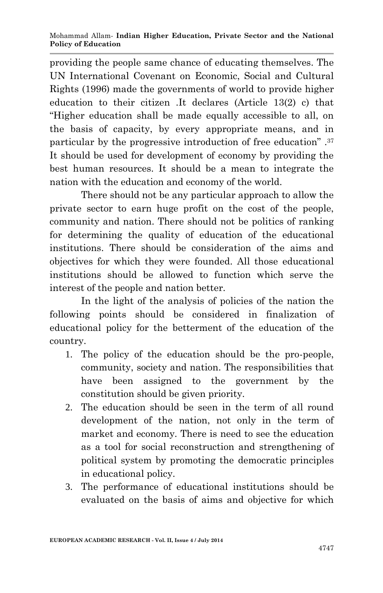providing the people same chance of educating themselves. The UN International Covenant on Economic, Social and Cultural Rights (1996) made the governments of world to provide higher education to their citizen .It declares (Article 13(2) c) that "Higher education shall be made equally accessible to all, on the basis of capacity, by every appropriate means, and in particular by the progressive introduction of free education" .<sup>37</sup> It should be used for development of economy by providing the best human resources. It should be a mean to integrate the nation with the education and economy of the world.

There should not be any particular approach to allow the private sector to earn huge profit on the cost of the people, community and nation. There should not be politics of ranking for determining the quality of education of the educational institutions. There should be consideration of the aims and objectives for which they were founded. All those educational institutions should be allowed to function which serve the interest of the people and nation better.

In the light of the analysis of policies of the nation the following points should be considered in finalization of educational policy for the betterment of the education of the country.

- 1. The policy of the education should be the pro-people, community, society and nation. The responsibilities that have been assigned to the government by the constitution should be given priority.
- 2. The education should be seen in the term of all round development of the nation, not only in the term of market and economy. There is need to see the education as a tool for social reconstruction and strengthening of political system by promoting the democratic principles in educational policy.
- 3. The performance of educational institutions should be evaluated on the basis of aims and objective for which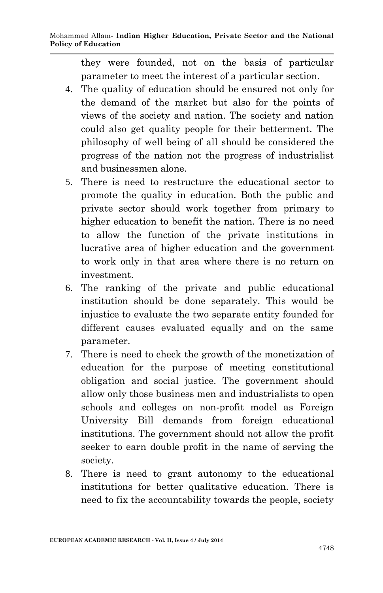they were founded, not on the basis of particular parameter to meet the interest of a particular section.

- 4. The quality of education should be ensured not only for the demand of the market but also for the points of views of the society and nation. The society and nation could also get quality people for their betterment. The philosophy of well being of all should be considered the progress of the nation not the progress of industrialist and businessmen alone.
- 5. There is need to restructure the educational sector to promote the quality in education. Both the public and private sector should work together from primary to higher education to benefit the nation. There is no need to allow the function of the private institutions in lucrative area of higher education and the government to work only in that area where there is no return on investment.
- 6. The ranking of the private and public educational institution should be done separately. This would be injustice to evaluate the two separate entity founded for different causes evaluated equally and on the same parameter.
- 7. There is need to check the growth of the monetization of education for the purpose of meeting constitutional obligation and social justice. The government should allow only those business men and industrialists to open schools and colleges on non-profit model as Foreign University Bill demands from foreign educational institutions. The government should not allow the profit seeker to earn double profit in the name of serving the society.
- 8. There is need to grant autonomy to the educational institutions for better qualitative education. There is need to fix the accountability towards the people, society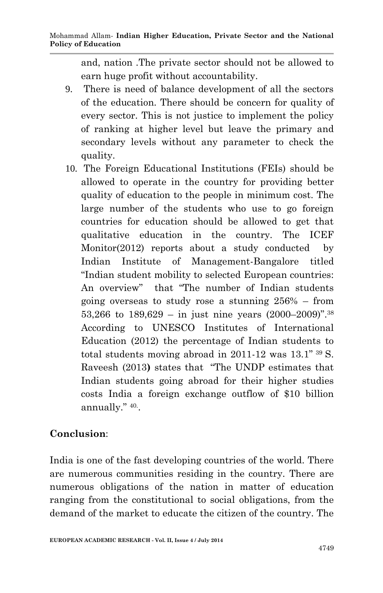and, nation .The private sector should not be allowed to earn huge profit without accountability.

- 9. There is need of balance development of all the sectors of the education. There should be concern for quality of every sector. This is not justice to implement the policy of ranking at higher level but leave the primary and secondary levels without any parameter to check the quality.
- 10. The Foreign Educational Institutions (FEIs) should be allowed to operate in the country for providing better quality of education to the people in minimum cost. The large number of the students who use to go foreign countries for education should be allowed to get that qualitative education in the country. The ICEF Monitor(2012) reports about a study conducted by Indian Institute of Management-Bangalore titled "Indian student mobility to selected European countries: An overview" that "The number of Indian students going overseas to study rose a stunning 256% – from 53,266 to  $189,629 - in$  just nine years  $(2000-2009)^{7}$ .<sup>38</sup> According to UNESCO Institutes of International Education (2012) the percentage of Indian students to total students moving abroad in  $2011-12$  was  $13.1$ "  $39$  S. Raveesh (2013**)** states that "The UNDP estimates that Indian students going abroad for their higher studies costs India a foreign exchange outflow of \$10 billion annually." 40. .

### **Conclusion**:

India is one of the fast developing countries of the world. There are numerous communities residing in the country. There are numerous obligations of the nation in matter of education ranging from the constitutional to social obligations, from the demand of the market to educate the citizen of the country. The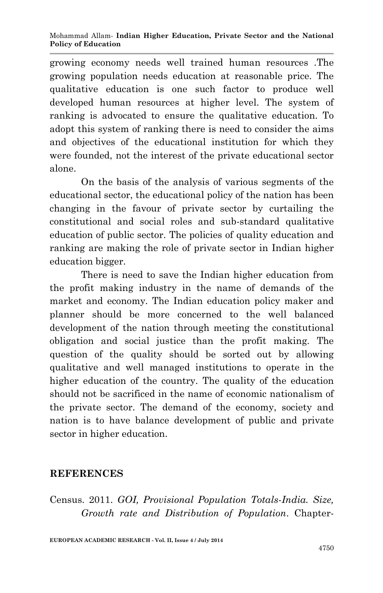growing economy needs well trained human resources .The growing population needs education at reasonable price. The qualitative education is one such factor to produce well developed human resources at higher level. The system of ranking is advocated to ensure the qualitative education. To adopt this system of ranking there is need to consider the aims and objectives of the educational institution for which they were founded, not the interest of the private educational sector alone.

On the basis of the analysis of various segments of the educational sector, the educational policy of the nation has been changing in the favour of private sector by curtailing the constitutional and social roles and sub-standard qualitative education of public sector. The policies of quality education and ranking are making the role of private sector in Indian higher education bigger.

There is need to save the Indian higher education from the profit making industry in the name of demands of the market and economy. The Indian education policy maker and planner should be more concerned to the well balanced development of the nation through meeting the constitutional obligation and social justice than the profit making. The question of the quality should be sorted out by allowing qualitative and well managed institutions to operate in the higher education of the country. The quality of the education should not be sacrificed in the name of economic nationalism of the private sector. The demand of the economy, society and nation is to have balance development of public and private sector in higher education.

#### **REFERENCES**

Census. 2011. *GOI, Provisional Population Totals-India. Size, Growth rate and Distribution of Population*. Chapter-

**EUROPEAN ACADEMIC RESEARCH - Vol. II, Issue 4 / July 2014**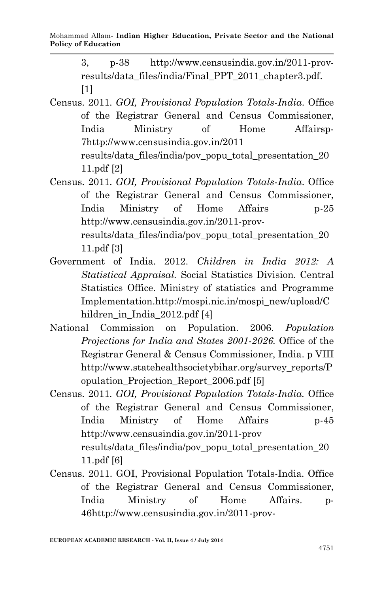3, p-38 http://www.censusindia.gov.in/2011-provresults/data\_files/india/Final\_PPT\_2011\_chapter3.pdf. [1]

- Census. 2011. *GOI, Provisional Population Totals-India*. Office of the Registrar General and Census Commissioner, India Ministry of Home Affairsp-7http://www.censusindia.gov.in/2011 results/data\_files/india/pov\_popu\_total\_presentation\_20 11.pdf [2]
- Census. 2011. *GOI, Provisional Population Totals-India*. Office of the Registrar General and Census Commissioner, India Ministry of Home Affairs p-25 http://www.censusindia.gov.in/2011-provresults/data\_files/india/pov\_popu\_total\_presentation\_20 11.pdf [3]
- Government of India. 2012. *Children in India 2012: A Statistical Appraisal.* Social Statistics Division. Central Statistics Office. Ministry of statistics and Programme Implementation.http://mospi.nic.in/mospi\_new/upload/C hildren\_in\_India\_2012.pdf [4]
- National Commission on Population. 2006. *Population Projections for India and States 2001-2026.* Office of the Registrar General & Census Commissioner, India. p VIII http://www.statehealthsocietybihar.org/survey\_reports/P opulation\_Projection\_Report\_2006.pdf [5]
- Census. 2011. *GOI, Provisional Population Totals-India.* Office of the Registrar General and Census Commissioner, India Ministry of Home Affairs p-45 http://www.censusindia.gov.in/2011-prov results/data\_files/india/pov\_popu\_total\_presentation\_20 11.pdf [6]
- Census. 2011. GOI, Provisional Population Totals-India. Office of the Registrar General and Census Commissioner, India Ministry of Home Affairs. p-46http://www.censusindia.gov.in/2011-prov-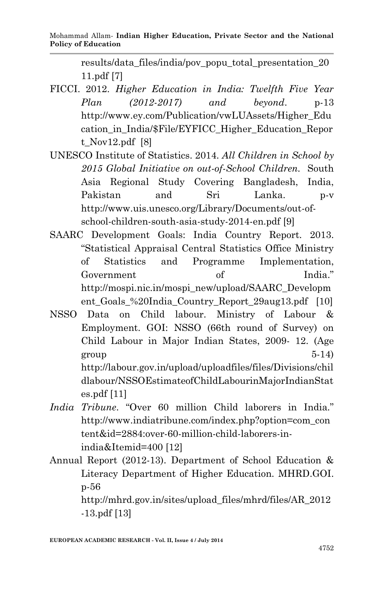results/data\_files/india/pov\_popu\_total\_presentation\_20 11.pdf [7]

- FICCI. 2012. *Higher Education in India: Twelfth Five Year Plan (2012-2017) and beyond*. p-13 http://www.ey.com/Publication/vwLUAssets/Higher\_Edu cation\_in\_India/\$File/EYFICC\_Higher\_Education\_Repor t\_Nov12.pdf [8]
- UNESCO Institute of Statistics. 2014. *All Children in School by 2015 Global Initiative on out-of-School Children.* South Asia Regional Study Covering Bangladesh, India, Pakistan and Sri Lanka. p-v http://www.uis.unesco.org/Library/Documents/out-ofschool-children-south-asia-study-2014-en.pdf [9]
- SAARC Development Goals: India Country Report. 2013. "Statistical Appraisal Central Statistics Office Ministry of Statistics and Programme Implementation, Government of India." http://mospi.nic.in/mospi\_new/upload/SAARC\_Developm ent Goals %20India Country Report 29aug13.pdf [10]
- NSSO Data on Child labour. Ministry of Labour & Employment. GOI: NSSO (66th round of Survey) on Child Labour in Major Indian States, 2009- 12. (Age  $group$   $5-14)$ http://labour.gov.in/upload/uploadfiles/files/Divisions/chil dlabour/NSSOEstimateofChildLabourinMajorIndianStat es.pdf [11]
- *India Tribune*. "Over 60 million Child laborers in India." http://www.indiatribune.com/index.php?option=com\_con tent&id=2884:over-60-million-child-laborers-inindia&Itemid=400 [12]
- Annual Report (2012-13). Department of School Education & Literacy Department of Higher Education. MHRD.GOI. p-56

http://mhrd.gov.in/sites/upload\_files/mhrd/files/AR\_2012 -13.pdf [13]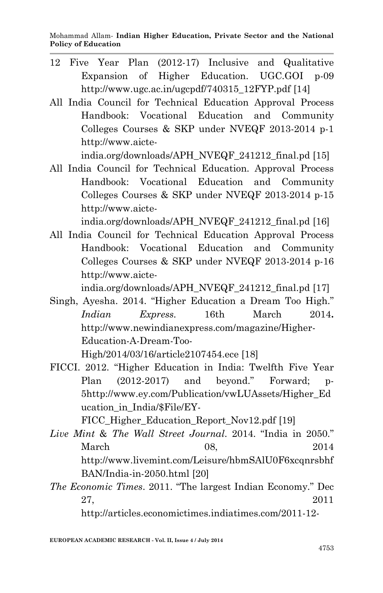- 12 Five Year Plan (2012-17) Inclusive and Qualitative Expansion of Higher Education. UGC.GOI p-09 http://www.ugc.ac.in/ugcpdf/740315\_12FYP.pdf [14]
- All India Council for Technical Education Approval Process Handbook: Vocational Education and Community Colleges Courses & SKP under NVEQF 2013-2014 p-1 http://www.aicte-

india.org/downloads/APH\_NVEQF\_241212\_final.pd [15]

All India Council for Technical Education. Approval Process Handbook: Vocational Education and Community Colleges Courses & SKP under NVEQF 2013-2014 p-15 http://www.aicte-

india.org/downloads/APH\_NVEQF\_241212\_final.pd [16]

All India Council for Technical Education Approval Process Handbook: Vocational Education and Community Colleges Courses & SKP under NVEQF 2013-2014 p-16 http://www.aicte-

india.org/downloads/APH\_NVEQF\_241212\_final.pd [17]

Singh, Ayesha. 2014. "Higher Education a Dream Too High." *Indian Express.* 16th March 2014**.**  http://www.newindianexpress.com/magazine/Higher-Education-A-Dream-Too-

High/2014/03/16/article2107454.ece [18]

FICCI. 2012. "Higher Education in India: Twelfth Five Year Plan (2012-2017) and beyond." Forward; p-5http://www.ey.com/Publication/vwLUAssets/Higher\_Ed ucation\_in\_India/\$File/EY-

FICC Higher Education Report Nov12.pdf [19]

- *Live Mint* & *The Wall Street Journal*. 2014. "India in 2050." March 08, 2014 http://www.livemint.com/Leisure/hbmSAlU0F6xcqnrsbhf BAN/India-in-2050.html [20]
- *The Economic Times*. 2011. "The largest Indian Economy." Dec 27, 2011

http://articles.economictimes.indiatimes.com/2011-12-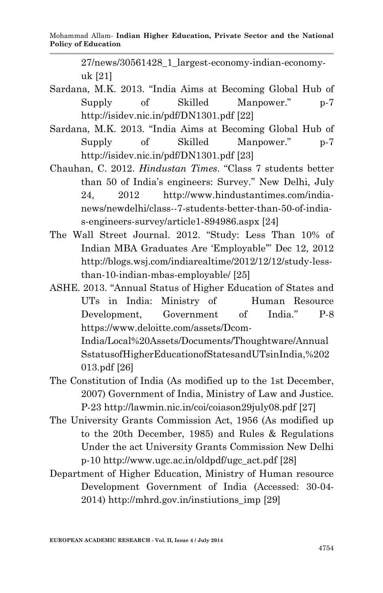27/news/30561428\_1\_largest-economy-indian-economyuk [21]

- Sardana, M.K. 2013. "India Aims at Becoming Global Hub of Supply of Skilled Manpower." p-7 http://isidev.nic.in/pdf/DN1301.pdf [22]
- Sardana, M.K. 2013. "India Aims at Becoming Global Hub of Supply of Skilled Manpower." p-7 http://isidev.nic.in/pdf/DN1301.pdf [23]
- Chauhan, C. 2012. *Hindustan Times*. "Class 7 students better than 50 of India's engineers: Survey." New Delhi, July 24, 2012 http://www.hindustantimes.com/indianews/newdelhi/class--7-students-better-than-50-of-indias-engineers-survey/article1-894986.aspx [24]
- The Wall Street Journal. 2012. "Study: Less Than 10% of Indian MBA Graduates Are 'Employable'" Dec 12, 2012 http://blogs.wsj.com/indiarealtime/2012/12/12/study-lessthan-10-indian-mbas-employable/ [25]
- ASHE. 2013. "Annual Status of Higher Education of States and UTs in India: Ministry of Human Resource Development, Government of India." P-8 https://www.deloitte.com/assets/Dcom-

India/Local%20Assets/Documents/Thoughtware/Annual SstatusofHigherEducationofStatesandUTsinIndia,%202 013.pdf [26]

- The Constitution of India (As modified up to the 1st December, 2007) Government of India, Ministry of Law and Justice. P-23 http://lawmin.nic.in/coi/coiason29july08.pdf [27]
- The University Grants Commission Act, 1956 (As modified up to the 20th December, 1985) and Rules & Regulations Under the act University Grants Commission New Delhi p-10 http://www.ugc.ac.in/oldpdf/ugc\_act.pdf [28]
- Department of Higher Education, Ministry of Human resource Development Government of India (Accessed: 30-04- 2014) http://mhrd.gov.in/instiutions\_imp [29]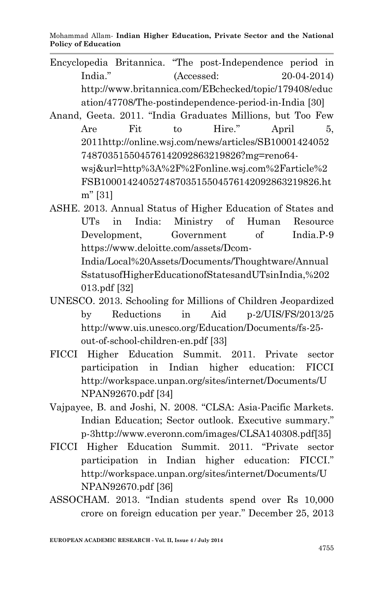- Encyclopedia Britannica. "The post-Independence period in India." (Accessed: 20-04-2014) http://www.britannica.com/EBchecked/topic/179408/educ ation/47708/The-postindependence-period-in-India [30]
- Anand, Geeta. 2011. "India Graduates Millions, but Too Few Are Fit to Hire." April 5, 2011http://online.wsj.com/news/articles/SB10001424052 748703515504576142092863219826?mg=reno64 wsj&url=http%3A%2F%2Fonline.wsj.com%2Farticle%2 FSB10001424052748703515504576142092863219826.ht m" [31]
- ASHE. 2013. Annual Status of Higher Education of States and UTs in India: Ministry of Human Resource Development, Government of India.P-9 https://www.deloitte.com/assets/Dcom-India/Local%20Assets/Documents/Thoughtware/Annual SstatusofHigherEducationofStatesandUTsinIndia,%202
	- 013.pdf [32]
- UNESCO. 2013. Schooling for Millions of Children Jeopardized by Reductions in Aid p-2/UIS/FS/2013/25 http://www.uis.unesco.org/Education/Documents/fs-25 out-of-school-children-en.pdf [33]
- FICCI Higher Education Summit. 2011. Private sector participation in Indian higher education: FICCI http://workspace.unpan.org/sites/internet/Documents/U NPAN92670.pdf [34]
- Vajpayee, B. and Joshi, N. 2008. "CLSA: Asia-Pacific Markets. Indian Education; Sector outlook. Executive summary." p-3http://www.everonn.com/images/CLSA140308.pdf[35]
- FICCI Higher Education Summit. 2011. "Private sector participation in Indian higher education: FICCI." http://workspace.unpan.org/sites/internet/Documents/U NPAN92670.pdf [36]
- ASSOCHAM. 2013. "Indian students spend over Rs 10,000 crore on foreign education per year." December 25, 2013